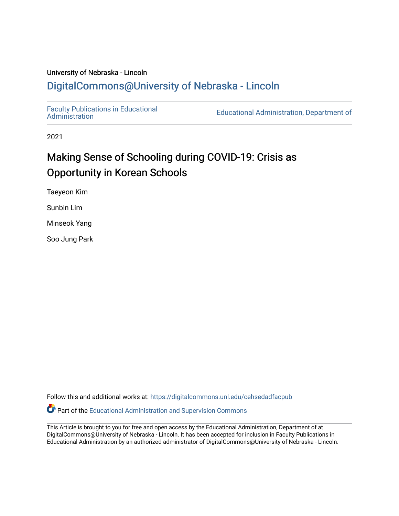# University of Nebraska - Lincoln [DigitalCommons@University of Nebraska - Lincoln](https://digitalcommons.unl.edu/)

[Faculty Publications in Educational](https://digitalcommons.unl.edu/cehsedadfacpub) 

Educational Administration, Department of

2021

# Making Sense of Schooling during COVID-19: Crisis as Opportunity in Korean Schools

Taeyeon Kim

Sunbin Lim

Minseok Yang

Soo Jung Park

Follow this and additional works at: [https://digitalcommons.unl.edu/cehsedadfacpub](https://digitalcommons.unl.edu/cehsedadfacpub?utm_source=digitalcommons.unl.edu%2Fcehsedadfacpub%2F149&utm_medium=PDF&utm_campaign=PDFCoverPages) 

**P** Part of the [Educational Administration and Supervision Commons](http://network.bepress.com/hgg/discipline/787?utm_source=digitalcommons.unl.edu%2Fcehsedadfacpub%2F149&utm_medium=PDF&utm_campaign=PDFCoverPages)

This Article is brought to you for free and open access by the Educational Administration, Department of at DigitalCommons@University of Nebraska - Lincoln. It has been accepted for inclusion in Faculty Publications in Educational Administration by an authorized administrator of DigitalCommons@University of Nebraska - Lincoln.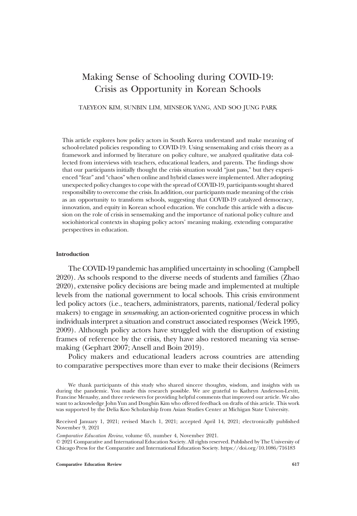## Making Sense of Schooling during COVID-19: Crisis as Opportunity in Korean Schools

### TAEYEON KIM, SUNBIN LIM, MINSEOK YANG, AND SOO JUNG PARK

This article explores how policy actors in South Korea understand and make meaning of school-related policies responding to COVID-19. Using sensemaking and crisis theory as a framework and informed by literature on policy culture, we analyzed qualitative data collected from interviews with teachers, educational leaders, and parents. The findings show that our participants initially thought the crisis situation would "just pass," but they experienced "fear" and "chaos" when online and hybrid classes were implemented. After adopting unexpected policy changes to cope with the spread of COVID-19, participants sought shared responsibility to overcome the crisis. In addition, our participants made meaning of the crisis as an opportunity to transform schools, suggesting that COVID-19 catalyzed democracy, innovation, and equity in Korean school education. We conclude this article with a discussion on the role of crisis in sensemaking and the importance of national policy culture and sociohistorical contexts in shaping policy actors' meaning making, extending comparative perspectives in education.

### Introduction

The COVID-19 pandemic has amplified uncertainty in schooling (Campbell 2020). As schools respond to the diverse needs of students and families (Zhao 2020), extensive policy decisions are being made and implemented at multiple levels from the national government to local schools. This crisis environment led policy actors (i.e., teachers, administrators, parents, national/federal policy makers) to engage in *sensemaking*, an action-oriented cognitive process in which individuals interpret a situation and construct associated responses (Weick 1995, 2009). Although policy actors have struggled with the disruption of existing frames of reference by the crisis, they have also restored meaning via sensemaking (Gephart 2007; Ansell and Boin 2019).

Policy makers and educational leaders across countries are attending to comparative perspectives more than ever to make their decisions (Reimers

Comparative Education Review, volume 65, number 4, November 2021.

 $@ 2021$  Comparative and International Education Society. All rights reserved. Published by The University of Chicago Press for the Comparative and International Education Society. https://doi.org/10.1086/716183

**Comparative Education Review 617** 617

We thank participants of this study who shared sincere thoughts, wisdom, and insights with us during the pandemic. You made this research possible. We are grateful to Kathryn Anderson-Levitt, Francine Menashy, and three reviewers for providing helpful comments that improved our article. We also want to acknowledge John Yun and Dongbin Kim who offered feedback on drafts of this article. This work was supported by the Delia Koo Scholarship from Asian Studies Center at Michigan State University.

Received January 1, 2021; revised March 1, 2021; accepted April 14, 2021; electronically published November 9, 2021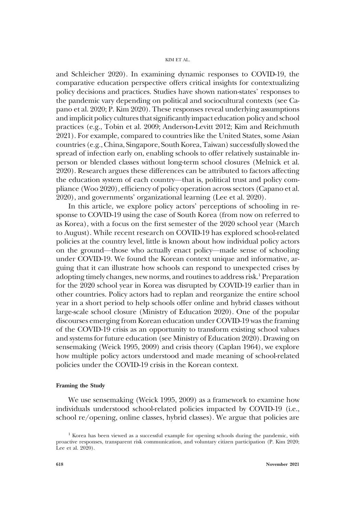and Schleicher 2020). In examining dynamic responses to COVID-19, the comparative education perspective offers critical insights for contextualizing policy decisions and practices. Studies have shown nation-states' responses to the pandemic vary depending on political and sociocultural contexts (see Capano et al. 2020; P. Kim 2020). These responses reveal underlying assumptions and implicit policy cultures that significantly impact education policy and school practices (e.g., Tobin et al. 2009; Anderson-Levitt 2012; Kim and Reichmuth 2021). For example, compared to countries like the United States, some Asian countries (e.g., China, Singapore, South Korea, Taiwan) successfully slowed the spread of infection early on, enabling schools to offer relatively sustainable inperson or blended classes without long-term school closures (Melnick et al. 2020). Research argues these differences can be attributed to factors affecting the education system of each country—that is, political trust and policy compliance (Woo 2020), efficiency of policy operation across sectors (Capano et al. 2020), and governments' organizational learning (Lee et al. 2020).

In this article, we explore policy actors' perceptions of schooling in response to COVID-19 using the case of South Korea (from now on referred to as Korea), with a focus on the first semester of the 2020 school year (March to August). While recent research on COVID-19 has explored school-related policies at the country level, little is known about how individual policy actors on the ground—those who actually enact policy—made sense of schooling under COVID-19. We found the Korean context unique and informative, arguing that it can illustrate how schools can respond to unexpected crises by adopting timely changes, new norms, and routines to address risk.<sup>1</sup> Preparation for the 2020 school year in Korea was disrupted by COVID-19 earlier than in other countries. Policy actors had to replan and reorganize the entire school year in a short period to help schools offer online and hybrid classes without large-scale school closure (Ministry of Education 2020). One of the popular discourses emerging from Korean education under COVID-19 was the framing of the COVID-19 crisis as an opportunity to transform existing school values and systems for future education (see Ministry of Education 2020). Drawing on sensemaking (Weick 1995, 2009) and crisis theory (Caplan 1964), we explore how multiple policy actors understood and made meaning of school-related policies under the COVID-19 crisis in the Korean context.

### Framing the Study

We use sensemaking (Weick 1995, 2009) as a framework to examine how individuals understood school-related policies impacted by COVID-19 (i.e., school re/opening, online classes, hybrid classes). We argue that policies are

 $<sup>1</sup>$  Korea has been viewed as a successful example for opening schools during the pandemic, with</sup> proactive responses, transparent risk communication, and voluntary citizen participation (P. Kim 2020; Lee et al.  $20\overline{2}0$ ).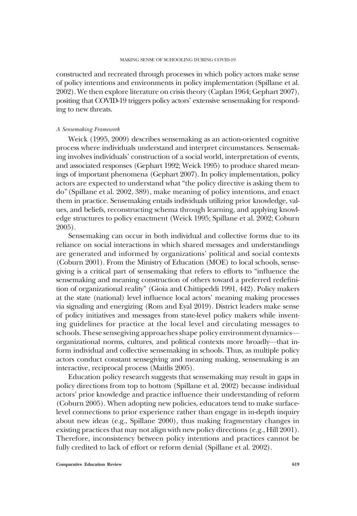constructed and recreated through processes in which policy actors make sense of policy intentions and environments in policy implementation (Spillane et al. 2002). We then explore literature on crisis theory (Caplan 1964; Gephart 2007), positing that COVID-19 triggers policy actors' extensive sensemaking for responding to new threats.

### A Sensemaking Framework

Weick (1995, 2009) describes sensemaking as an action-oriented cognitive process where individuals understand and interpret circumstances. Sensemaking involves individuals' construction of a social world, interpretation of events, and associated responses (Gephart 1992; Weick 1995) to produce shared meanings of important phenomena (Gephart 2007). In policy implementation, policy actors are expected to understand what "the policy directive is asking them to do" (Spillane et al. 2002, 389), make meaning of policy intentions, and enact them in practice. Sensemaking entails individuals utilizing prior knowledge, values, and beliefs, reconstructing schema through learning, and applying knowledge structures to policy enactment (Weick 1995; Spillane et al. 2002; Coburn 2005).

Sensemaking can occur in both individual and collective forms due to its reliance on social interactions in which shared messages and understandings are generated and informed by organizations' political and social contexts (Coburn 2001). From the Ministry of Education (MOE) to local schools, sensegiving is a critical part of sensemaking that refers to efforts to "influence the sensemaking and meaning construction of others toward a preferred redefinition of organizational reality" (Gioia and Chittipeddi 1991, 442). Policy makers at the state (national) level influence local actors' meaning making processes via signaling and energizing (Rom and Eyal 2019). District leaders make sense of policy initiatives and messages from state-level policy makers while inventing guidelines for practice at the local level and circulating messages to schools. These sensegiving approaches shape policy environment dynamics organizational norms, cultures, and political contexts more broadly—that inform individual and collective sensemaking in schools. Thus, as multiple policy actors conduct constant sensegiving and meaning making, sensemaking is an interactive, reciprocal process (Maitlis 2005).

Education policy research suggests that sensemaking may result in gaps in policy directions from top to bottom (Spillane et al. 2002) because individual actors' prior knowledge and practice influence their understanding of reform (Coburn 2005). When adopting new policies, educators tend to make surfacelevel connections to prior experience rather than engage in in-depth inquiry about new ideas (e.g., Spillane 2000), thus making fragmentary changes in existing practices that may not align with new policy directions (e.g., Hill 2001). Therefore, inconsistency between policy intentions and practices cannot be fully credited to lack of effort or reform denial (Spillane et al. 2002).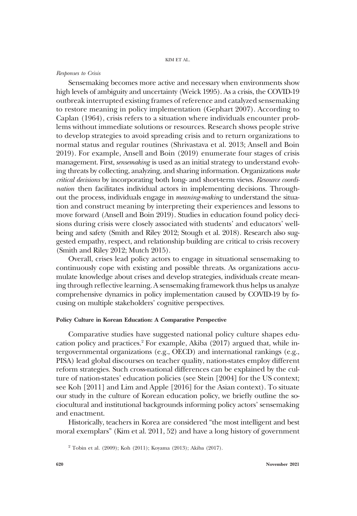### Responses to Crisis

Sensemaking becomes more active and necessary when environments show high levels of ambiguity and uncertainty (Weick 1995). As a crisis, the COVID-19 outbreak interrupted existing frames of reference and catalyzed sensemaking to restore meaning in policy implementation (Gephart 2007). According to Caplan (1964), crisis refers to a situation where individuals encounter problems without immediate solutions or resources. Research shows people strive to develop strategies to avoid spreading crisis and to return organizations to normal status and regular routines (Shrivastava et al. 2013; Ansell and Boin 2019). For example, Ansell and Boin (2019) enumerate four stages of crisis management. First, *sensemaking* is used as an initial strategy to understand evolving threats by collecting, analyzing, and sharing information. Organizations make critical decisions by incorporating both long- and short-term views. Resource coordination then facilitates individual actors in implementing decisions. Throughout the process, individuals engage in meaning-making to understand the situation and construct meaning by interpreting their experiences and lessons to move forward (Ansell and Boin 2019). Studies in education found policy decisions during crisis were closely associated with students' and educators' wellbeing and safety (Smith and Riley 2012; Stough et al. 2018). Research also suggested empathy, respect, and relationship building are critical to crisis recovery (Smith and Riley 2012; Mutch 2015).

Overall, crises lead policy actors to engage in situational sensemaking to continuously cope with existing and possible threats. As organizations accumulate knowledge about crises and develop strategies, individuals create meaning through reflective learning. A sensemaking framework thus helps us analyze comprehensive dynamics in policy implementation caused by COVID-19 by focusing on multiple stakeholders' cognitive perspectives.

### Policy Culture in Korean Education: A Comparative Perspective

Comparative studies have suggested national policy culture shapes education policy and practices.<sup>2</sup> For example, Akiba (2017) argued that, while intergovernmental organizations (e.g., OECD) and international rankings (e.g., PISA) lead global discourses on teacher quality, nation-states employ different reform strategies. Such cross-national differences can be explained by the culture of nation-states' education policies (see Stein [2004] for the US context; see Koh [2011] and Lim and Apple [2016] for the Asian context). To situate our study in the culture of Korean education policy, we briefly outline the sociocultural and institutional backgrounds informing policy actors' sensemaking and enactment.

Historically, teachers in Korea are considered "the most intelligent and best moral exemplars" (Kim et al. 2011, 52) and have a long history of government

<sup>&</sup>lt;sup>2</sup> Tobin et al. (2009); Koh (2011); Koyama (2013); Akiba (2017).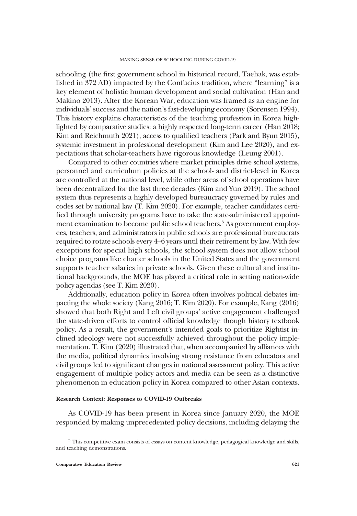schooling (the first government school in historical record, Taehak, was established in 372 AD) impacted by the Confucius tradition, where "learning" is a key element of holistic human development and social cultivation (Han and Makino 2013). After the Korean War, education was framed as an engine for individuals' success and the nation's fast-developing economy (Sorensen 1994). This history explains characteristics of the teaching profession in Korea highlighted by comparative studies: a highly respected long-term career (Han 2018; Kim and Reichmuth 2021), access to qualified teachers (Park and Byun 2015), systemic investment in professional development (Kim and Lee 2020), and expectations that scholar-teachers have rigorous knowledge (Leung 2001).

Compared to other countries where market principles drive school systems, personnel and curriculum policies at the school- and district-level in Korea are controlled at the national level, while other areas of school operations have been decentralized for the last three decades (Kim and Yun 2019). The school system thus represents a highly developed bureaucracy governed by rules and codes set by national law (T. Kim 2020). For example, teacher candidates certified through university programs have to take the state-administered appointment examination to become public school teachers.<sup>3</sup> As government employees, teachers, and administrators in public schools are professional bureaucrats required to rotate schools every 4–6 years until their retirement by law. With few exceptions for special high schools, the school system does not allow school choice programs like charter schools in the United States and the government supports teacher salaries in private schools. Given these cultural and institutional backgrounds, the MOE has played a critical role in setting nation-wide policy agendas (see T. Kim 2020).

Additionally, education policy in Korea often involves political debates impacting the whole society (Kang 2016; T. Kim 2020). For example, Kang (2016) showed that both Right and Left civil groups' active engagement challenged the state-driven efforts to control official knowledge though history textbook policy. As a result, the government's intended goals to prioritize Rightist inclined ideology were not successfully achieved throughout the policy implementation. T. Kim (2020) illustrated that, when accompanied by alliances with the media, political dynamics involving strong resistance from educators and civil groups led to significant changes in national assessment policy. This active engagement of multiple policy actors and media can be seen as a distinctive phenomenon in education policy in Korea compared to other Asian contexts.

### Research Context: Responses to COVID-19 Outbreaks

As COVID-19 has been present in Korea since January 2020, the MOE responded by making unprecedented policy decisions, including delaying the

<sup>&</sup>lt;sup>3</sup> This competitive exam consists of essays on content knowledge, pedagogical knowledge and skills, and teaching demonstrations.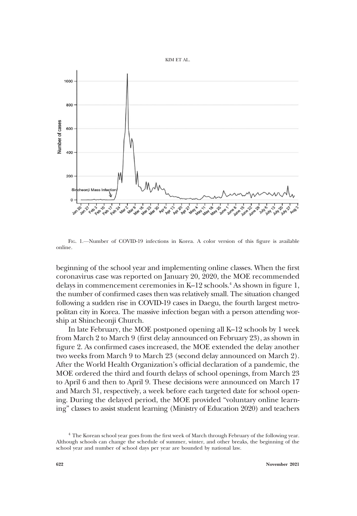



FIG. 1.—Number of COVID-19 infections in Korea. A color version of this figure is available online.

beginning of the school year and implementing online classes. When the first coronavirus case was reported on January 20, 2020, the MOE recommended delays in commencement ceremonies in K–12 schools.4 As shown in figure 1, the number of confirmed cases then was relatively small. The situation changed following a sudden rise in COVID-19 cases in Daegu, the fourth largest metropolitan city in Korea. The massive infection began with a person attending worship at Shincheonji Church.

In late February, the MOE postponed opening all K–12 schools by 1 week from March 2 to March 9 (first delay announced on February 23), as shown in figure 2. As confirmed cases increased, the MOE extended the delay another two weeks from March 9 to March 23 (second delay announced on March 2). After the World Health Organization's official declaration of a pandemic, the MOE ordered the third and fourth delays of school openings, from March 23 to April 6 and then to April 9. These decisions were announced on March 17 and March 31, respectively, a week before each targeted date for school opening. During the delayed period, the MOE provided "voluntary online learning" classes to assist student learning (Ministry of Education 2020) and teachers

<sup>&</sup>lt;sup>4</sup> The Korean school year goes from the first week of March through February of the following year. Although schools can change the schedule of summer, winter, and other breaks, the beginning of the school year and number of school days per year are bounded by national law.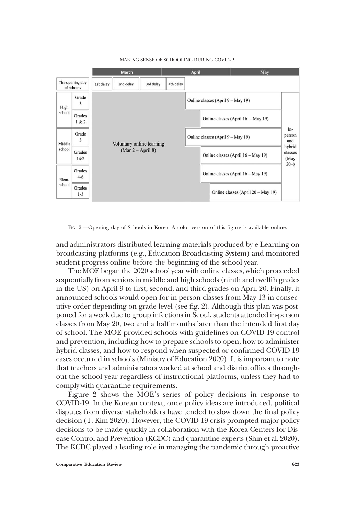

#### MAKING SENSE OF SCHOOLING DURING COVID-19

FIG. 2.—Opening day of Schools in Korea. A color version of this figure is available online.

and administrators distributed learning materials produced by e-Learning on broadcasting platforms (e.g., Education Broadcasting System) and monitored student progress online before the beginning of the school year.

The MOE began the 2020 school year with online classes, which proceeded sequentially from seniors in middle and high schools (ninth and twelfth grades in the US) on April 9 to first, second, and third grades on April 20. Finally, it announced schools would open for in-person classes from May 13 in consecutive order depending on grade level (see fig. 2). Although this plan was postponed for a week due to group infections in Seoul, students attended in-person classes from May 20, two and a half months later than the intended first day of school. The MOE provided schools with guidelines on COVID-19 control and prevention, including how to prepare schools to open, how to administer hybrid classes, and how to respond when suspected or confirmed COVID-19 cases occurred in schools (Ministry of Education 2020). It is important to note that teachers and administrators worked at school and district offices throughout the school year regardless of instructional platforms, unless they had to comply with quarantine requirements.

Figure 2 shows the MOE's series of policy decisions in response to COVID-19. In the Korean context, once policy ideas are introduced, political disputes from diverse stakeholders have tended to slow down the final policy decision (T. Kim 2020). However, the COVID-19 crisis prompted major policy decisions to be made quickly in collaboration with the Korea Centers for Disease Control and Prevention (KCDC) and quarantine experts (Shin et al. 2020). The KCDC played a leading role in managing the pandemic through proactive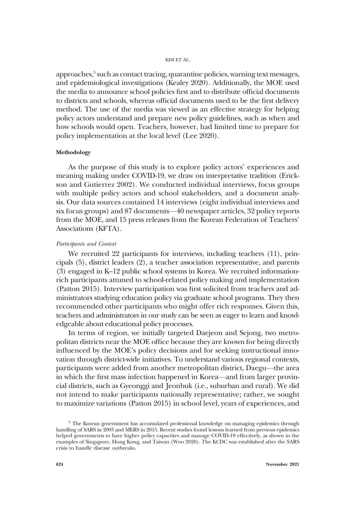approaches,<sup>5</sup> such as contact tracing, quarantine policies, warning text messages, and epidemiological investigations (Kealey 2020). Additionally, the MOE used the media to announce school policies first and to distribute official documents to districts and schools, whereas official documents used to be the first delivery method. The use of the media was viewed as an effective strategy for helping policy actors understand and prepare new policy guidelines, such as when and how schools would open. Teachers, however, had limited time to prepare for policy implementation at the local level (Lee 2020).

### Methodology

As the purpose of this study is to explore policy actors' experiences and meaning making under COVID-19, we draw on interpretative tradition (Erickson and Gutierrez 2002). We conducted individual interviews, focus groups with multiple policy actors and school stakeholders, and a document analysis. Our data sources contained 14 interviews (eight individual interviews and six focus groups) and 87 documents—40 newspaper articles, 32 policy reports from the MOE, and 15 press releases from the Korean Federation of Teachers' Associations (KFTA).

### Participants and Context

We recruited 22 participants for interviews, including teachers (11), principals (5), district leaders (2), a teacher association representative, and parents (3) engaged in K–12 public school systems in Korea. We recruited informationrich participants attuned to school-related policy making and implementation (Patton 2015). Interview participation was first solicited from teachers and administrators studying education policy via graduate school programs. They then recommended other participants who might offer rich responses. Given this, teachers and administrators in our study can be seen as eager to learn and knowledgeable about educational policy processes.

In terms of region, we initially targeted Daejeon and Sejong, two metropolitan districts near the MOE office because they are known for being directly influenced by the MOE's policy decisions and for seeking instructional innovation through district-wide initiatives. To understand various regional contexts, participants were added from another metropolitan district, Daegu—the area in which the first mass infection happened in Korea—and from larger provincial districts, such as Gyeonggi and Jeonbuk (i.e., suburban and rural). We did not intend to make participants nationally representative; rather, we sought to maximize variations (Patton 2015) in school level, years of experiences, and

 $5$  The Korean government has accumulated professional knowledge on managing epidemics through handling of SARS in 2003 and MERS in 2015. Recent studies found lessons learned from previous epidemics helped governments to have higher policy capacities and manage COVID-19 effectively, as shown in the examples of Singapore, Hong Kong, and Taiwan (Woo 2020). The KCDC was established after the SARS crisis to handle disease outbreaks.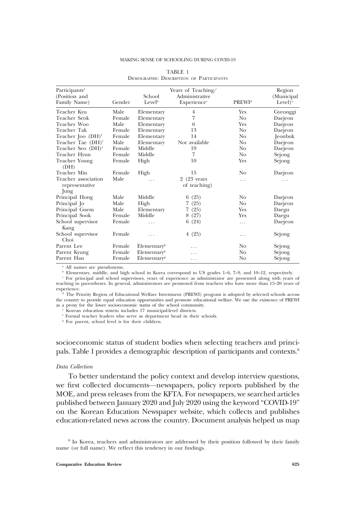#### MAKING SENSE OF SCHOOLING DURING COVID-19

| Participants <sup>a</sup><br>(Position and<br>Family Name) | Gender | School<br>Level <sup>b</sup> | Years of Teaching/<br>Administrative<br>Experience <sup>c</sup> | PREWI <sup>d</sup> | Region<br>(Municipal<br>Level) <sup><math>\rm ^{c}</math></sup> |
|------------------------------------------------------------|--------|------------------------------|-----------------------------------------------------------------|--------------------|-----------------------------------------------------------------|
| Teacher Kyu                                                | Male   | Elementary                   | 4                                                               | Yes                | Gyeonggi                                                        |
| Teacher Seok                                               | Female | Elementary                   | 7                                                               | N <sub>o</sub>     | Daejeon                                                         |
| Teacher Woo                                                | Male   | Elementary                   | 6                                                               | Yes                | Daejeon                                                         |
| Teacher Tak                                                | Female | Elementary                   | 13                                                              | N <sub>o</sub>     | Daejeon                                                         |
| Teacher Joo $(DH)f$                                        | Female | Elementary                   | 14                                                              | N <sub>o</sub>     | <b>Jeonbuk</b>                                                  |
| Teacher Tae (DH) <sup>f</sup>                              | Male   | Elementary                   | Not available                                                   | No                 | Daejeon                                                         |
| Teacher Seo (DH) <sup>f</sup>                              | Female | Middle                       | 19                                                              | N <sub>o</sub>     | Daejeon                                                         |
| Teacher Hyun                                               | Female | Middle                       | 7                                                               | N <sub>0</sub>     | Sejong                                                          |
| Teacher Young<br>(DH)                                      | Female | High                         | 10                                                              | Yes                | Sejong                                                          |
| Teacher Min                                                | Female | High                         | 15                                                              | No                 | Daejeon                                                         |
| Teacher association                                        | Male   |                              | 2 (23 years                                                     | .                  | .                                                               |
| representative<br>Jung                                     |        |                              | of teaching)                                                    |                    |                                                                 |
| Principal Hong                                             | Male   | Middle                       | 6(25)                                                           | No                 | Daejeon                                                         |
| Principal Jo                                               | Male   | High                         | (25)<br>7.                                                      | N <sub>o</sub>     | Daejeon                                                         |
| Principal Guem                                             | Male   | Elementary                   | 7.<br>(25)                                                      | Yes                | Daegu                                                           |
| Principal Sook                                             | Female | Middle                       | 8(27)                                                           | Yes                | Daegu                                                           |
| School supervisor<br>Kang                                  | Female | .                            | 6(24)                                                           | .                  | Daejeon                                                         |
| School supervisor<br>Choi                                  | Female | .                            | 4(25)                                                           | .                  | Sejong                                                          |
| Parent Lee                                                 | Female | Elementary <sup>s</sup>      | .                                                               | No                 | Sejong                                                          |
| Parent Kyung                                               | Female | Elementary <sup>g</sup>      | .                                                               | No                 | Sejong                                                          |
| Parent Han                                                 | Female | Elementary <sup>s</sup>      | .                                                               | No                 | Sejong                                                          |

### TABLE 1 DEMOGRAPHIC DESCRIPTION OF PARTICIPANTS

<sup>a</sup> All names are pseudonyms.

<sup>b</sup> Elementary, middle, and high school in Korea correspond to US grades 1–6, 7–9, and 10–12, respectively.

<sup>c</sup> For principal and school supervisors, years of experience as administrator are presented along with years of teaching in parentheses. In general, administrators are promoted from teachers who have more than 15–20 years of experience.

The Priority Region of Educational Welfare Investment (PREWI) program is adopted by selected schools across the country to provide equal education opportunities and promote educational welfare. We use the existence of PREWI as a proxy for the lower socioeconomic status of the school community.

Korean education system includes 17 municipal-level districts.

<sup>f</sup> Formal teacher leaders who serve as department head in their schools.

<sup>g</sup> For parent, school level is for their children.

socioeconomic status of student bodies when selecting teachers and principals. Table 1 provides a demographic description of participants and contexts.6

### Data Collection

To better understand the policy context and develop interview questions, we first collected documents—newspapers, policy reports published by the MOE, and press releases from the KFTA. For newspapers, we searched articles published between January 2020 and July 2020 using the keyword "COVID-19" on the Korean Education Newspaper website, which collects and publishes education-related news across the country. Document analysis helped us map

<sup>&</sup>lt;sup>6</sup> In Korea, teachers and administrators are addressed by their position followed by their family name (or full name). We reflect this tendency in our findings.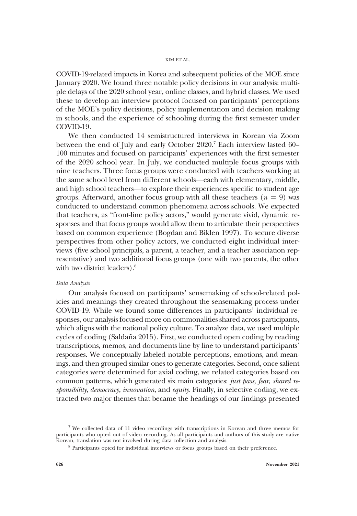COVID-19-related impacts in Korea and subsequent policies of the MOE since January 2020. We found three notable policy decisions in our analysis: multiple delays of the 2020 school year, online classes, and hybrid classes. We used these to develop an interview protocol focused on participants' perceptions of the MOE's policy decisions, policy implementation and decision making in schools, and the experience of schooling during the first semester under COVID-19.

We then conducted 14 semistructured interviews in Korean via Zoom between the end of July and early October 2020.<sup>7</sup> Each interview lasted 60– 100 minutes and focused on participants' experiences with the first semester of the 2020 school year. In July, we conducted multiple focus groups with nine teachers. Three focus groups were conducted with teachers working at the same school level from different schools—each with elementary, middle, and high school teachers—to explore their experiences specific to student age groups. Afterward, another focus group with all these teachers ( $n = 9$ ) was conducted to understand common phenomena across schools. We expected that teachers, as "front-line policy actors," would generate vivid, dynamic responses and that focus groups would allow them to articulate their perspectives based on common experience (Bogdan and Biklen 1997). To secure diverse perspectives from other policy actors, we conducted eight individual interviews (five school principals, a parent, a teacher, and a teacher association representative) and two additional focus groups (one with two parents, the other with two district leaders).<sup>8</sup>

### Data Analysis

Our analysis focused on participants' sensemaking of school-related policies and meanings they created throughout the sensemaking process under COVID-19. While we found some differences in participants' individual responses, our analysis focused more on commonalities shared across participants, which aligns with the national policy culture. To analyze data, we used multiple cycles of coding (Saldaña 2015). First, we conducted open coding by reading transcriptions, memos, and documents line by line to understand participants' responses. We conceptually labeled notable perceptions, emotions, and meanings, and then grouped similar ones to generate categories. Second, once salient categories were determined for axial coding, we related categories based on common patterns, which generated six main categories: just pass, fear, shared responsibility, democracy, innovation, and equity. Finally, in selective coding, we extracted two major themes that became the headings of our findings presented

<sup>7</sup> We collected data of 11 video recordings with transcriptions in Korean and three memos for participants who opted out of video recording. As all participants and authors of this study are native Korean, translation was not involved during data collection and analysis.

<sup>8</sup> Participants opted for individual interviews or focus groups based on their preference.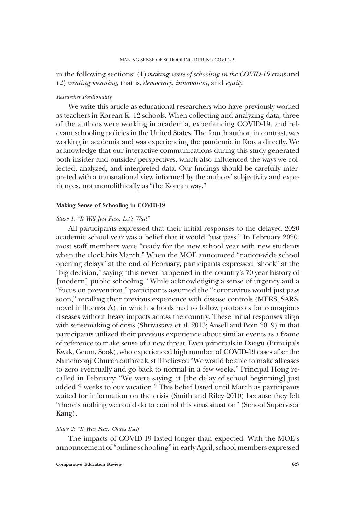#### MAKING SENSE OF SCHOOLING DURING COVID-19

### in the following sections: (1) making sense of schooling in the COVID-19 crisis and  $(2)$  creating meaning, that is, democracy, innovation, and equity.

### Researcher Positionality

We write this article as educational researchers who have previously worked as teachers in Korean K–12 schools. When collecting and analyzing data, three of the authors were working in academia, experiencing COVID-19, and relevant schooling policies in the United States. The fourth author, in contrast, was working in academia and was experiencing the pandemic in Korea directly. We acknowledge that our interactive communications during this study generated both insider and outsider perspectives, which also influenced the ways we collected, analyzed, and interpreted data. Our findings should be carefully interpreted with a transnational view informed by the authors' subjectivity and experiences, not monolithically as "the Korean way."

### Making Sense of Schooling in COVID-19

### Stage 1: "It Will Just Pass, Let's Wait"

All participants expressed that their initial responses to the delayed 2020 academic school year was a belief that it would "just pass." In February 2020, most staff members were "ready for the new school year with new students when the clock hits March." When the MOE announced "nation-wide school opening delays" at the end of February, participants expressed "shock" at the "big decision," saying "this never happened in the country's 70-year history of [modern] public schooling." While acknowledging a sense of urgency and a "focus on prevention," participants assumed the "coronavirus would just pass soon," recalling their previous experience with disease controls (MERS, SARS, novel influenza A), in which schools had to follow protocols for contagious diseases without heavy impacts across the country. These initial responses align with sensemaking of crisis (Shrivastava et al. 2013; Ansell and Boin 2019) in that participants utilized their previous experience about similar events as a frame of reference to make sense of a new threat. Even principals in Daegu (Principals Kwak, Geum, Sook), who experienced high number of COVID-19 cases after the Shincheonji Church outbreak, still believed "We would be able to make all cases to zero eventually and go back to normal in a few weeks." Principal Hong recalled in February: "We were saying, it [the delay of school beginning] just added 2 weeks to our vacation." This belief lasted until March as participants waited for information on the crisis (Smith and Riley 2010) because they felt "there's nothing we could do to control this virus situation" (School Supervisor Kang).

### Stage 2: "It Was Fear, Chaos Itself"

The impacts of COVID-19 lasted longer than expected. With the MOE's announcement of"online schooling"in early April, school members expressed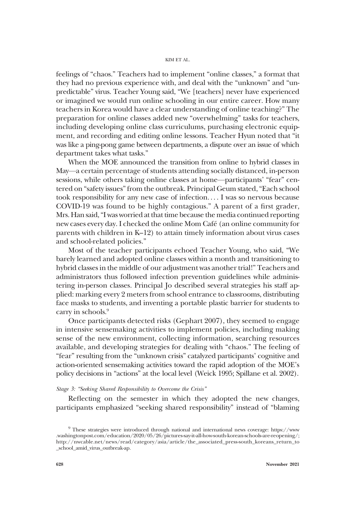feelings of "chaos." Teachers had to implement "online classes," a format that they had no previous experience with, and deal with the "unknown" and "unpredictable" virus. Teacher Young said, "We [teachers] never have experienced or imagined we would run online schooling in our entire career. How many teachers in Korea would have a clear understanding of online teaching?" The preparation for online classes added new "overwhelming" tasks for teachers, including developing online class curriculums, purchasing electronic equipment, and recording and editing online lessons. Teacher Hyun noted that "it was like a ping-pong game between departments, a dispute over an issue of which department takes what tasks."

When the MOE announced the transition from online to hybrid classes in May—a certain percentage of students attending socially distanced, in-person sessions, while others taking online classes at home—participants' "fear" centered on "safety issues"from the outbreak. Principal Geum stated,"Each school took responsibility for any new case of infection. . . . I was so nervous because COVID-19 was found to be highly contagious." A parent of a first grader, Mrs. Han said,"I was worried at that time because the media continued reporting new cases every day. I checked the online Mom Café (an online community for parents with children in K–12) to attain timely information about virus cases and school-related policies."

Most of the teacher participants echoed Teacher Young, who said, "We barely learned and adopted online classes within a month and transitioning to hybrid classes in the middle of our adjustment was another trial!" Teachers and administrators thus followed infection prevention guidelines while administering in-person classes. Principal Jo described several strategies his staff applied: marking every 2 meters from school entrance to classrooms, distributing face masks to students, and inventing a portable plastic barrier for students to carry in schools.<sup>9</sup>

Once participants detected risks (Gephart 2007), they seemed to engage in intensive sensemaking activities to implement policies, including making sense of the new environment, collecting information, searching resources available, and developing strategies for dealing with "chaos." The feeling of "fear" resulting from the "unknown crisis" catalyzed participants' cognitive and action-oriented sensemaking activities toward the rapid adoption of the MOE's policy decisions in "actions" at the local level (Weick 1995; Spillane et al. 2002).

### Stage 3: "Seeking Shared Responsibility to Overcome the Crisis"

Reflecting on the semester in which they adopted the new changes, participants emphasized "seeking shared responsibility" instead of "blaming

<sup>9</sup> These strategies were introduced through national and international news coverage: [https://www](https://www.washingtonpost.com/education/2020/05/26/pictures-say-it-all-how-south-korean-schools-are-reopening/) [.washingtonpost.com/education/2020/05/26/pictures-say-it-all-how-south-korean-schools-are-reopening/](https://www.washingtonpost.com/education/2020/05/26/pictures-say-it-all-how-south-korean-schools-are-reopening/); [http://nwcable.net/news/read/category/asia/article/the\\_associated\\_press-south\\_koreans\\_return\\_to](http://nwcable.net/news/read/category/asia/article/the_associated_press-south_koreans_return_to_school_amid_virus_outbreak-ap) [\\_school\\_amid\\_virus\\_outbreak-ap.](http://nwcable.net/news/read/category/asia/article/the_associated_press-south_koreans_return_to_school_amid_virus_outbreak-ap)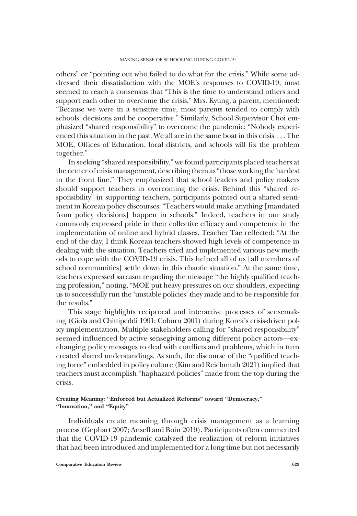others" or "pointing out who failed to do what for the crisis." While some addressed their dissatisfaction with the MOE's responses to COVID-19, most seemed to reach a consensus that "This is the time to understand others and support each other to overcome the crisis." Mrs. Kyung, a parent, mentioned: "Because we were in a sensitive time, most parents tended to comply with schools' decisions and be cooperative." Similarly, School Supervisor Choi emphasized "shared responsibility" to overcome the pandemic: "Nobody experienced this situation in the past. We all are in the same boat in this crisis. . . . The MOE, Offices of Education, local districts, and schools will fix the problem together."

In seeking "shared responsibility," we found participants placed teachers at the center of crisis management, describing them as"those working the hardest in the front line." They emphasized that school leaders and policy makers should support teachers in overcoming the crisis. Behind this "shared responsibility" in supporting teachers, participants pointed out a shared sentiment in Korean policy discourses: "Teachers would make anything [mandated from policy decisions] happen in schools." Indeed, teachers in our study commonly expressed pride in their collective efficacy and competence in the implementation of online and hybrid classes. Teacher Tae reflected: "At the end of the day, I think Korean teachers showed high levels of competence in dealing with the situation. Teachers tried and implemented various new methods to cope with the COVID-19 crisis. This helped all of us [all members of school communities] settle down in this chaotic situation." At the same time, teachers expressed sarcasm regarding the message "the highly qualified teaching profession," noting, "MOE put heavy pressures on our shoulders, expecting us to successfully run the 'unstable policies' they made and to be responsible for the results."

This stage highlights reciprocal and interactive processes of sensemaking (Giola and Chittipeddi 1991; Coburn 2001) during Korea's crisis-driven policy implementation. Multiple stakeholders calling for "shared responsibility" seemed influenced by active sensegiving among different policy actors—exchanging policy messages to deal with conflicts and problems, which in turn created shared understandings. As such, the discourse of the "qualified teaching force" embedded in policy culture (Kim and Reichmuth 2021) implied that teachers must accomplish "haphazard policies" made from the top during the crisis.

### Creating Meaning: "Enforced but Actualized Reforms" toward "Democracy," "Innovation," and "Equity"

Individuals create meaning through crisis management as a learning process (Gephart 2007; Ansell and Boin 2019). Participants often commented that the COVID-19 pandemic catalyzed the realization of reform initiatives that had been introduced and implemented for a long time but not necessarily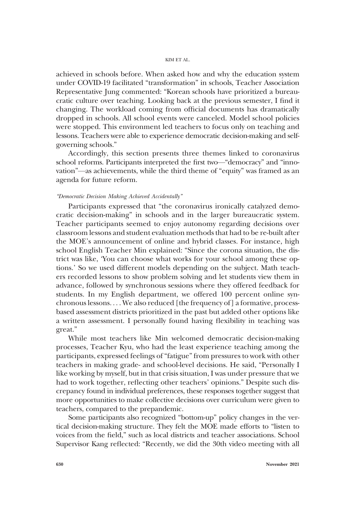achieved in schools before. When asked how and why the education system under COVID-19 facilitated "transformation" in schools, Teacher Association Representative Jung commented: "Korean schools have prioritized a bureaucratic culture over teaching. Looking back at the previous semester, I find it changing. The workload coming from official documents has dramatically dropped in schools. All school events were canceled. Model school policies were stopped. This environment led teachers to focus only on teaching and lessons. Teachers were able to experience democratic decision-making and selfgoverning schools."

Accordingly, this section presents three themes linked to coronavirus school reforms. Participants interpreted the first two—"democracy" and "innovation"—as achievements, while the third theme of "equity" was framed as an agenda for future reform.

### "Democratic Decision Making Achieved Accidentally"

Participants expressed that "the coronavirus ironically catalyzed democratic decision-making" in schools and in the larger bureaucratic system. Teacher participants seemed to enjoy autonomy regarding decisions over classroom lessons and student evaluation methods that had to be re-built after the MOE's announcement of online and hybrid classes. For instance, high school English Teacher Min explained: "Since the corona situation, the district was like, 'You can choose what works for your school among these options.' So we used different models depending on the subject. Math teachers recorded lessons to show problem solving and let students view them in advance, followed by synchronous sessions where they offered feedback for students. In my English department, we offered 100 percent online synchronous lessons. . . . We also reduced [the frequency of] a formative, processbased assessment districts prioritized in the past but added other options like a written assessment. I personally found having flexibility in teaching was great."

While most teachers like Min welcomed democratic decision-making processes, Teacher Kyu, who had the least experience teaching among the participants, expressed feelings of "fatigue" from pressures to work with other teachers in making grade- and school-level decisions. He said, "Personally I like working by myself, but in that crisis situation, I was under pressure that we had to work together, reflecting other teachers' opinions." Despite such discrepancy found in individual preferences, these responses together suggest that more opportunities to make collective decisions over curriculum were given to teachers, compared to the prepandemic.

Some participants also recognized "bottom-up" policy changes in the vertical decision-making structure. They felt the MOE made efforts to "listen to voices from the field," such as local districts and teacher associations. School Supervisor Kang reflected: "Recently, we did the 30th video meeting with all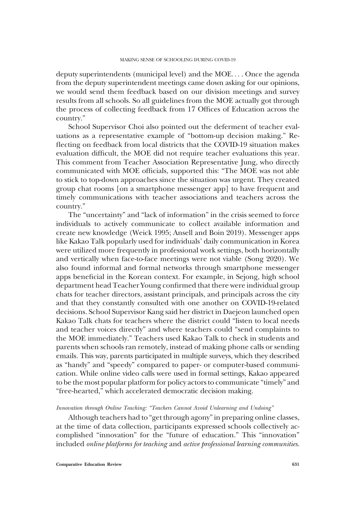deputy superintendents (municipal level) and the MOE. . . . Once the agenda from the deputy superintendent meetings came down asking for our opinions, we would send them feedback based on our division meetings and survey results from all schools. So all guidelines from the MOE actually got through the process of collecting feedback from 17 Offices of Education across the country."

School Supervisor Choi also pointed out the deferment of teacher evaluations as a representative example of "bottom-up decision making." Reflecting on feedback from local districts that the COVID-19 situation makes evaluation difficult, the MOE did not require teacher evaluations this year. This comment from Teacher Association Representative Jung, who directly communicated with MOE officials, supported this: "The MOE was not able to stick to top-down approaches since the situation was urgent. They created group chat rooms [on a smartphone messenger app] to have frequent and timely communications with teacher associations and teachers across the country."

The "uncertainty" and "lack of information" in the crisis seemed to force individuals to actively communicate to collect available information and create new knowledge (Weick 1995; Ansell and Boin 2019). Messenger apps like Kakao Talk popularly used for individuals' daily communication in Korea were utilized more frequently in professional work settings, both horizontally and vertically when face-to-face meetings were not viable (Song 2020). We also found informal and formal networks through smartphone messenger apps beneficial in the Korean context. For example, in Sejong, high school department head Teacher Young confirmed that there were individual group chats for teacher directors, assistant principals, and principals across the city and that they constantly consulted with one another on COVID-19-related decisions. School Supervisor Kang said her district in Daejeon launched open Kakao Talk chats for teachers where the district could "listen to local needs and teacher voices directly" and where teachers could "send complaints to the MOE immediately." Teachers used Kakao Talk to check in students and parents when schools ran remotely, instead of making phone calls or sending emails. This way, parents participated in multiple surveys, which they described as "handy" and "speedy" compared to paper- or computer-based communication. While online video calls were used in formal settings, Kakao appeared to be the most popular platform for policy actors to communicate "timely" and "free-hearted," which accelerated democratic decision making.

### Innovation through Online Teaching: "Teachers Cannot Avoid Unlearning and Undoing"

Although teachers had to "get through agony"in preparing online classes, at the time of data collection, participants expressed schools collectively accomplished "innovation" for the "future of education." This "innovation" included online platforms for teaching and active professional learning communities.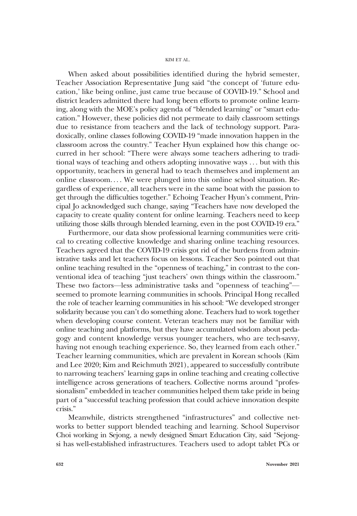When asked about possibilities identified during the hybrid semester, Teacher Association Representative Jung said "the concept of 'future education,' like being online, just came true because of COVID-19." School and district leaders admitted there had long been efforts to promote online learning, along with the MOE's policy agenda of "blended learning" or "smart education." However, these policies did not permeate to daily classroom settings due to resistance from teachers and the lack of technology support. Paradoxically, online classes following COVID-19 "made innovation happen in the classroom across the country." Teacher Hyun explained how this change occurred in her school: "There were always some teachers adhering to traditional ways of teaching and others adopting innovative ways . . . but with this opportunity, teachers in general had to teach themselves and implement an online classroom. . . . We were plunged into this online school situation. Regardless of experience, all teachers were in the same boat with the passion to get through the difficulties together." Echoing Teacher Hyun's comment, Principal Jo acknowledged such change, saying "Teachers have now developed the capacity to create quality content for online learning. Teachers need to keep utilizing those skills through blended learning, even in the post COVID-19 era."

Furthermore, our data show professional learning communities were critical to creating collective knowledge and sharing online teaching resources. Teachers agreed that the COVID-19 crisis got rid of the burdens from administrative tasks and let teachers focus on lessons. Teacher Seo pointed out that online teaching resulted in the "openness of teaching," in contrast to the conventional idea of teaching "just teachers' own things within the classroom." These two factors—less administrative tasks and "openness of teaching" seemed to promote learning communities in schools. Principal Hong recalled the role of teacher learning communities in his school: "We developed stronger solidarity because you can't do something alone. Teachers had to work together when developing course content. Veteran teachers may not be familiar with online teaching and platforms, but they have accumulated wisdom about pedagogy and content knowledge versus younger teachers, who are tech-savvy, having not enough teaching experience. So, they learned from each other." Teacher learning communities, which are prevalent in Korean schools (Kim and Lee 2020; Kim and Reichmuth 2021), appeared to successfully contribute to narrowing teachers' learning gaps in online teaching and creating collective intelligence across generations of teachers. Collective norms around "professionalism" embedded in teacher communities helped them take pride in being part of a "successful teaching profession that could achieve innovation despite crisis."

Meanwhile, districts strengthened "infrastructures" and collective networks to better support blended teaching and learning. School Supervisor Choi working in Sejong, a newly designed Smart Education City, said "Sejongsi has well-established infrastructures. Teachers used to adopt tablet PCs or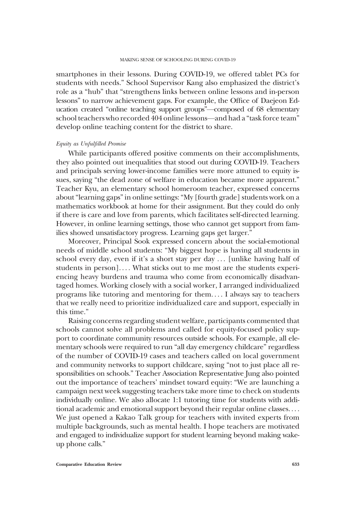smartphones in their lessons. During COVID-19, we offered tablet PCs for students with needs." School Supervisor Kang also emphasized the district's role as a "hub" that "strengthens links between online lessons and in-person lessons" to narrow achievement gaps. For example, the Office of Daejeon Education created "online teaching support groups"—composed of 68 elementary school teachers who recorded 404 online lessons—and had a "task force team" develop online teaching content for the district to share.

#### Equity as Unfulfilled Promise

While participants offered positive comments on their accomplishments, they also pointed out inequalities that stood out during COVID-19. Teachers and principals serving lower-income families were more attuned to equity issues, saying "the dead zone of welfare in education became more apparent." Teacher Kyu, an elementary school homeroom teacher, expressed concerns about"learning gaps"in online settings:"My [fourth grade] students work on a mathematics workbook at home for their assignment. But they could do only if there is care and love from parents, which facilitates self-directed learning. However, in online learning settings, those who cannot get support from families showed unsatisfactory progress. Learning gaps get larger."

Moreover, Principal Sook expressed concern about the social-emotional needs of middle school students: "My biggest hope is having all students in school every day, even if it's a short stay per day ... [unlike having half of students in person].... What sticks out to me most are the students experiencing heavy burdens and trauma who come from economically disadvantaged homes. Working closely with a social worker, I arranged individualized programs like tutoring and mentoring for them. . . . I always say to teachers that we really need to prioritize individualized care and support, especially in this time."

Raising concerns regarding student welfare, participants commented that schools cannot solve all problems and called for equity-focused policy support to coordinate community resources outside schools. For example, all elementary schools were required to run "all day emergency childcare" regardless of the number of COVID-19 cases and teachers called on local government and community networks to support childcare, saying "not to just place all responsibilities on schools." Teacher Association Representative Jung also pointed out the importance of teachers' mindset toward equity: "We are launching a campaign next week suggesting teachers take more time to check on students individually online. We also allocate 1:1 tutoring time for students with additional academic and emotional support beyond their regular online classes. . . . We just opened a Kakao Talk group for teachers with invited experts from multiple backgrounds, such as mental health. I hope teachers are motivated and engaged to individualize support for student learning beyond making wakeup phone calls."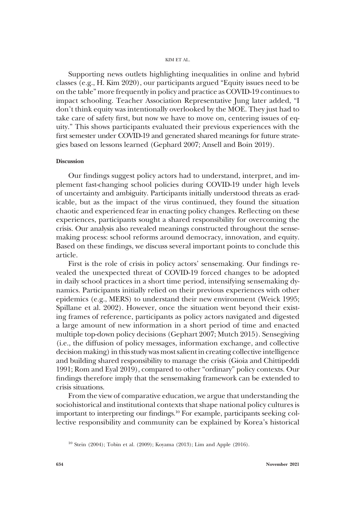Supporting news outlets highlighting inequalities in online and hybrid classes (e.g., H. Kim 2020), our participants argued "Equity issues need to be on the table" more frequently in policy and practice as COVID-19 continues to impact schooling. Teacher Association Representative Jung later added, "I don't think equity was intentionally overlooked by the MOE. They just had to take care of safety first, but now we have to move on, centering issues of equity." This shows participants evaluated their previous experiences with the first semester under COVID-19 and generated shared meanings for future strategies based on lessons learned (Gephard 2007; Ansell and Boin 2019).

### Discussion

Our findings suggest policy actors had to understand, interpret, and implement fast-changing school policies during COVID-19 under high levels of uncertainty and ambiguity. Participants initially understood threats as eradicable, but as the impact of the virus continued, they found the situation chaotic and experienced fear in enacting policy changes. Reflecting on these experiences, participants sought a shared responsibility for overcoming the crisis. Our analysis also revealed meanings constructed throughout the sensemaking process: school reforms around democracy, innovation, and equity. Based on these findings, we discuss several important points to conclude this article.

First is the role of crisis in policy actors' sensemaking. Our findings revealed the unexpected threat of COVID-19 forced changes to be adopted in daily school practices in a short time period, intensifying sensemaking dynamics. Participants initially relied on their previous experiences with other epidemics (e.g., MERS) to understand their new environment (Weick 1995; Spillane et al. 2002). However, once the situation went beyond their existing frames of reference, participants as policy actors navigated and digested a large amount of new information in a short period of time and enacted multiple top-down policy decisions (Gephart 2007; Mutch 2015). Sensegiving (i.e., the diffusion of policy messages, information exchange, and collective decision making) in this study was most salient in creating collective intelligence and building shared responsibility to manage the crisis (Gioia and Chittipeddi 1991; Rom and Eyal 2019), compared to other "ordinary" policy contexts. Our findings therefore imply that the sensemaking framework can be extended to crisis situations.

From the view of comparative education, we argue that understanding the sociohistorical and institutional contexts that shape national policy cultures is important to interpreting our findings.<sup>10</sup> For example, participants seeking collective responsibility and community can be explained by Korea's historical

<sup>&</sup>lt;sup>10</sup> Stein (2004); Tobin et al. (2009); Koyama (2013); Lim and Apple (2016).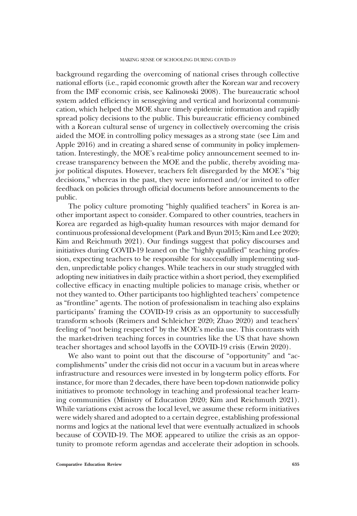background regarding the overcoming of national crises through collective national efforts (i.e., rapid economic growth after the Korean war and recovery from the IMF economic crisis, see Kalinowski 2008). The bureaucratic school system added efficiency in sensegiving and vertical and horizontal communication, which helped the MOE share timely epidemic information and rapidly spread policy decisions to the public. This bureaucratic efficiency combined with a Korean cultural sense of urgency in collectively overcoming the crisis aided the MOE in controlling policy messages as a strong state (see Lim and Apple 2016) and in creating a shared sense of community in policy implementation. Interestingly, the MOE's real-time policy announcement seemed to increase transparency between the MOE and the public, thereby avoiding major political disputes. However, teachers felt disregarded by the MOE's "big decisions," whereas in the past, they were informed and/or invited to offer feedback on policies through official documents before announcements to the public.

The policy culture promoting "highly qualified teachers" in Korea is another important aspect to consider. Compared to other countries, teachers in Korea are regarded as high-quality human resources with major demand for continuous professional development (Park and Byun 2015; Kim and Lee 2020; Kim and Reichmuth 2021). Our findings suggest that policy discourses and initiatives during COVID-19 leaned on the "highly qualified" teaching profession, expecting teachers to be responsible for successfully implementing sudden, unpredictable policy changes. While teachers in our study struggled with adopting new initiatives in daily practice within a short period, they exemplified collective efficacy in enacting multiple policies to manage crisis, whether or not they wanted to. Other participants too highlighted teachers' competence as "frontline" agents. The notion of professionalism in teaching also explains participants' framing the COVID-19 crisis as an opportunity to successfully transform schools (Reimers and Schleicher 2020; Zhao 2020) and teachers' feeling of "not being respected" by the MOE's media use. This contrasts with the market-driven teaching forces in countries like the US that have shown teacher shortages and school layoffs in the COVID-19 crisis (Erwin 2020).

We also want to point out that the discourse of "opportunity" and "accomplishments" under the crisis did not occur in a vacuum but in areas where infrastructure and resources were invested in by long-term policy efforts. For instance, for more than 2 decades, there have been top-down nationwide policy initiatives to promote technology in teaching and professional teacher learning communities (Ministry of Education 2020; Kim and Reichmuth 2021). While variations exist across the local level, we assume these reform initiatives were widely shared and adopted to a certain degree, establishing professional norms and logics at the national level that were eventually actualized in schools because of COVID-19. The MOE appeared to utilize the crisis as an opportunity to promote reform agendas and accelerate their adoption in schools.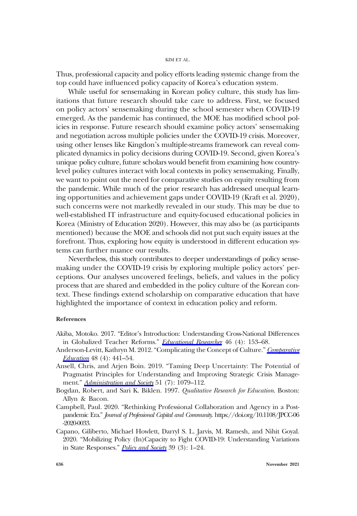Thus, professional capacity and policy efforts leading systemic change from the top could have influenced policy capacity of Korea's education system.

While useful for sensemaking in Korean policy culture, this study has limitations that future research should take care to address. First, we focused on policy actors' sensemaking during the school semester when COVID-19 emerged. As the pandemic has continued, the MOE has modified school policies in response. Future research should examine policy actors' sensemaking and negotiation across multiple policies under the COVID-19 crisis. Moreover, using other lenses like Kingdon's multiple-streams framework can reveal complicated dynamics in policy decisions during COVID-19. Second, given Korea's unique policy culture, future scholars would benefit from examining how countrylevel policy cultures interact with local contexts in policy sensemaking. Finally, we want to point out the need for comparative studies on equity resulting from the pandemic. While much of the prior research has addressed unequal learning opportunities and achievement gaps under COVID-19 (Kraft et al. 2020), such concerns were not markedly revealed in our study. This may be due to well-established IT infrastructure and equity-focused educational policies in Korea (Ministry of Education 2020). However, this may also be (as participants mentioned) because the MOE and schools did not put such equity issues at the forefront. Thus, exploring how equity is understood in different education systems can further nuance our results.

Nevertheless, this study contributes to deeper understandings of policy sensemaking under the COVID-19 crisis by exploring multiple policy actors' perceptions. Our analyses uncovered feelings, beliefs, and values in the policy process that are shared and embedded in the policy culture of the Korean context. These findings extend scholarship on comparative education that have highlighted the importance of context in education policy and reform.

### References

- Akiba, Motoko. 2017. "Editor's Introduction: Understanding Cross-National Differences in Globalized Teacher Reforms." [Educational Researcher](https://www.journals.uchicago.edu/action/showLinks?crossref=10.3102%2F0013189X17711908&citationId=p_12) 46 (4): 153-68.
- Anderson-Levitt, Kathryn M. 2012. "Complicating the Concept of Culture." [Comparative](https://www.journals.uchicago.edu/action/showLinks?crossref=10.1080%2F03050068.2011.634285&citationId=p_13) [Education](https://www.journals.uchicago.edu/action/showLinks?crossref=10.1080%2F03050068.2011.634285&citationId=p_13) 48 (4): 441–54.
- Ansell, Chris, and Arjen Boin. 2019. "Taming Deep Uncertainty: The Potential of Pragmatist Principles for Understanding and Improving Strategic Crisis Manage-ment." [Administration and Society](https://www.journals.uchicago.edu/action/showLinks?crossref=10.1177%2F0095399717747655&citationId=p_14) 51 (7): 1079–112.
- Bogdan, Robert, and Sari K. Biklen. 1997. Qualitative Research for Education. Boston: Allyn & Bacon.
- Campbell, Paul. 2020. "Rethinking Professional Collaboration and Agency in a Postpandemic Era." Journal of Professional Capital and Community. [https://doi.org/10.1108/JPCC-06](https://doi.org/10.1108/JPCC-06-2020-0033) [-2020-0033.](https://doi.org/10.1108/JPCC-06-2020-0033)
- Capano, Giliberto, Michael Howlett, Darryl S. L. Jarvis, M. Ramesh, and Nihit Goyal. 2020. "Mobilizing Policy (In)Capacity to Fight COVID-19: Understanding Variations in State Responses." *[Policy and Society](https://www.journals.uchicago.edu/action/showLinks?crossref=10.1080%2F14494035.2020.1787628&citationId=p_18)* 39 (3): 1-24.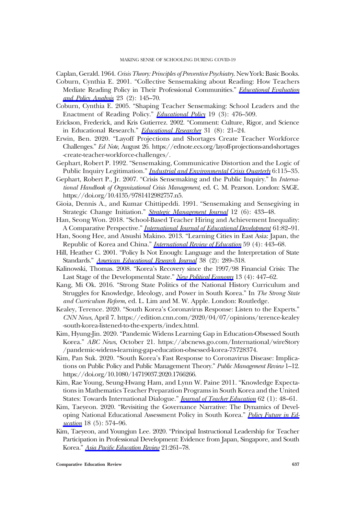Caplan, Gerald. 1964. Crisis Theory: Principles of Preventive Psychiatry. New York: Basic Books.

- Coburn, Cynthia E. 2001. "Collective Sensemaking about Reading: How Teachers Mediate Reading Policy in Their Professional Communities." [Educational Evaluation](https://www.journals.uchicago.edu/action/showLinks?crossref=10.3102%2F01623737023002145&citationId=p_20) [and Policy Analysis](https://www.journals.uchicago.edu/action/showLinks?crossref=10.3102%2F01623737023002145&citationId=p_20) 23 (2): 145–70.
- Coburn, Cynthia E. 2005. "Shaping Teacher Sensemaking: School Leaders and the Enactment of Reading Policy." *[Educational Policy](https://www.journals.uchicago.edu/action/showLinks?crossref=10.1177%2F0895904805276143&citationId=p_21)* 19 (3): 476-509.
- Erickson, Frederick, and Kris Gutierrez. 2002. "Comment: Culture, Rigor, and Science in Educational Research." [Educational Researcher](https://www.journals.uchicago.edu/action/showLinks?crossref=10.3102%2F0013189X031008021&citationId=p_22) 31 (8): 21-24.
- Erwin, Ben. 2020. "Layoff Projections and Shortages Create Teacher Workforce Challenges." Ed Note, August 26. [https://ednote.ecs.org/layoff-projections-and-shortages](https://ednote.ecs.org/layoff-projections-and-shortages-create-teacher-workforce-challenges/) [-create-teacher-workforce-challenges/.](https://ednote.ecs.org/layoff-projections-and-shortages-create-teacher-workforce-challenges/)
- Gephart, Robert P. 1992. "Sensemaking, Communicative Distortion and the Logic of Public Inquiry Legitimation." *Industrial and Environmental Crisis Ouarterly* 6:115-35.
- Gephart, Robert P., Jr. 2007. "Crisis Sensemaking and the Public Inquiry." In International Handbook of Organizational Crisis Management, ed. C. M. Pearson. London: SAGE. <https://doi.org/10.4135/9781412982757.n5>.
- Gioia, Dennis A., and Kumar Chittipeddi. 1991. "Sensemaking and Sensegiving in Strategic Change Initiation." [Strategic Management Journal](https://www.journals.uchicago.edu/action/showLinks?crossref=10.1002%2Fsmj.4250120604&citationId=p_26) 12 (6): 433-48.
- Han, Seong Won. 2018. "School-Based Teacher Hiring and Achievement Inequality: A Comparative Perspective." *[International Journal of Educational Development](https://www.journals.uchicago.edu/action/showLinks?crossref=10.1016%2Fj.ijedudev.2017.12.004&citationId=p_27)* 61:82-91.
- Han, Soong Hee, and Atsushi Makino. 2013. "Learning Cities in East Asia: Japan, the Republic of Korea and China." *[International Review of Education](https://www.journals.uchicago.edu/action/showLinks?crossref=10.1007%2Fs11159-013-9372-2&citationId=p_28)* 59 (4): 443-68.
- Hill, Heather C. 2001. "Policy Is Not Enough: Language and the Interpretation of State Standards." [American Educational Research Journal](https://www.journals.uchicago.edu/action/showLinks?crossref=10.3102%2F00028312038002289&citationId=p_29) 38 (2): 289-318.
- Kalinowski, Thomas. 2008. "Korea's Recovery since the 1997/98 Financial Crisis: The Last Stage of the Developmental State." [New Political Economy](https://www.journals.uchicago.edu/action/showLinks?crossref=10.1080%2F13563460802436616&citationId=p_30) 13 (4): 447–62.
- Kang, Mi Ok. 2016. "Strong State Politics of the National History Curriculum and Struggles for Knowledge, Ideology, and Power in South Korea." In The Strong State and Curriculum Reform, ed. L. Lim and M. W. Apple. London: Routledge.
- Kealey, Terence. 2020. "South Korea's Coronavirus Response: Listen to the Experts." CNN News, April 7. [https://edition.cnn.com/2020/04/07/opinions/terence-kealey](https://edition.cnn.com/2020/04/07/opinions/terence-kealey-south-korea-listened-to-the-experts/index.html) [-south-korea-listened-to-the-experts/index.html.](https://edition.cnn.com/2020/04/07/opinions/terence-kealey-south-korea-listened-to-the-experts/index.html)
- Kim, Hyung-Jin. 2020. "Pandemic Widens Learning Gap in Education-Obsessed South Korea." ABC News, October 21. [https://abcnews.go.com/International/wireStory](https://abcnews.go.com/International/wireStory/pandemic-widens-learning-gap-education-obsessed-korea-73728374) [/pandemic-widens-learning-gap-education-obsessed-korea-73728374.](https://abcnews.go.com/International/wireStory/pandemic-widens-learning-gap-education-obsessed-korea-73728374)
- Kim, Pan Suk. 2020. "South Korea's Fast Response to Coronavirus Disease: Implications on Public Policy and Public Management Theory." Public Management Review 1–12. <https://doi.org/10.1080/14719037.2020.1766266>.
- Kim, Rae Young, Seung-Hwang Ham, and Lynn W. Paine 2011. "Knowledge Expectations in Mathematics Teacher Preparation Programs in South Korea and the United States: Towards International Dialogue." [Journal of Teacher Education](https://www.journals.uchicago.edu/action/showLinks?crossref=10.1177%2F0022487110381999&citationId=p_35) 62 (1): 48-61.
- Kim, Taeyeon. 2020. "Revisiting the Governance Narrative: The Dynamics of Developing National Educational Assessment Policy in South Korea." [Policy Future in Ed](https://www.journals.uchicago.edu/action/showLinks?crossref=10.1177%2F1478210319873767&citationId=p_36)[ucation](https://www.journals.uchicago.edu/action/showLinks?crossref=10.1177%2F1478210319873767&citationId=p_36) 18 (5): 574-96.
- Kim, Taeyeon, and Youngjun Lee. 2020. "Principal Instructional Leadership for Teacher Participation in Professional Development: Evidence from Japan, Singapore, and South Korea." Asia Pacifi[c Education Review](https://www.journals.uchicago.edu/action/showLinks?crossref=10.1007%2Fs12564-019-09616-x&citationId=p_37) 21:261-78.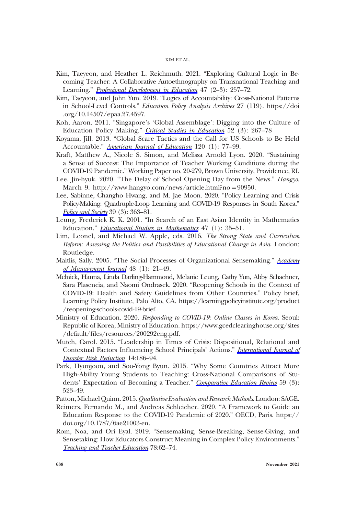- Kim, Taeyeon, and Heather L. Reichmuth. 2021. "Exploring Cultural Logic in Becoming Teacher: A Collaborative Autoethnography on Transnational Teaching and Learning." *[Professional Development in Education](https://www.journals.uchicago.edu/action/showLinks?crossref=10.1080%2F19415257.2020.1862278&citationId=p_38)* 47 (2-3): 257-72.
- Kim, Taeyeon, and John Yun. 2019. "Logics of Accountability: Cross-National Patterns in School-Level Controls." Education Policy Analysis Archives 27 (119). [https://doi](https://doi.org/10.14507/epaa.27.4597) [.org/10.14507/epaa.27.4597](https://doi.org/10.14507/epaa.27.4597).
- Koh, Aaron. 2011. "Singapore's 'Global Assemblage': Digging into the Culture of Education Policy Making." [Critical Studies in Education](https://www.journals.uchicago.edu/action/showLinks?crossref=10.1080%2F17508487.2011.604076&citationId=p_40) 52 (3): 267-78
- Koyama, Jill. 2013. "Global Scare Tactics and the Call for US Schools to Be Held Accountable." [American Journal of Education](https://www.journals.uchicago.edu/action/showLinks?system=10.1086%2F673122&citationId=p_41) 120 (1): 77-99.
- Kraft, Matthew A., Nicole S. Simon, and Melissa Arnold Lyon. 2020. "Sustaining a Sense of Success: The Importance of Teacher Working Conditions during the COVID-19 Pandemic." Working Paper no. 20-279, Brown University, Providence, RI.
- Lee, Jin-hyuk. 2020. "The Delay of School Opening Day from the News." Hangyo, March 9. [http://www.hangyo.com/news/article.html?no](http://www.hangyo.com/news/article.html?no=90950)=90950.
- Lee, Sabinne, Changho Hwang, and M. Jae Moon. 2020. "Policy Learning and Crisis Policy-Making: Quadruple-Loop Learning and COVID-19 Responses in South Korea." [Policy and Society](https://www.journals.uchicago.edu/action/showLinks?crossref=10.1080%2F14494035.2020.1785195&citationId=p_44) 39 (3): 363-81.
- Leung, Frederick K. K. 2001. "In Search of an East Asian Identity in Mathematics Education." *[Educational Studies in Mathematics](https://www.journals.uchicago.edu/action/showLinks?crossref=10.1023%2FA%3A1017936429620&citationId=p_45)* 47 (1): 35-51.
- Lim, Leonel, and Michael W. Apple, eds. 2016. The Strong State and Curriculum Reform: Assessing the Politics and Possibilities of Educational Change in Asia. London: Routledge.
- Maitlis, Sally. 2005. "The Social Processes of Organizational Sensemaking." [Academy](https://www.journals.uchicago.edu/action/showLinks?crossref=10.5465%2Famj.2005.15993111&citationId=p_47) [of Management Journal](https://www.journals.uchicago.edu/action/showLinks?crossref=10.5465%2Famj.2005.15993111&citationId=p_47) 48 (1): 21–49.
- Melnick, Hanna, Linda Darling-Hammond, Melanie Leung, Cathy Yun, Abby Schachner, Sara Plasencia, and Naomi Ondrasek. 2020. "Reopening Schools in the Context of COVID-19: Health and Safety Guidelines from Other Countries." Policy brief, Learning Policy Institute, Palo Alto, CA. [https://learningpolicyinstitute.org/product](https://learningpolicyinstitute.org/product/reopening-schools-covid-19-brief) [/reopening-schools-covid-19-brief](https://learningpolicyinstitute.org/product/reopening-schools-covid-19-brief).
- Ministry of Education. 2020. Responding to COVID-19: Online Classes in Korea. Seoul: Republic of Korea, Ministry of Education. [https://www.gcedclearinghouse.org/sites](https://www.gcedclearinghouse.org/sites/default/files/resources/200292eng.pdf) /default/fi[les/resources/200292eng.pdf](https://www.gcedclearinghouse.org/sites/default/files/resources/200292eng.pdf).
- Mutch, Carol. 2015. "Leadership in Times of Crisis: Dispositional, Relational and Contextual Factors Influencing School Principals' Actions." [International Journal of](https://www.journals.uchicago.edu/action/showLinks?crossref=10.1016%2Fj.ijdrr.2015.06.005&citationId=p_50) [Disaster Risk Reduction](https://www.journals.uchicago.edu/action/showLinks?crossref=10.1016%2Fj.ijdrr.2015.06.005&citationId=p_50) 14:186–94.
- Park, Hyunjoon, and Soo-Yong Byun. 2015. "Why Some Countries Attract More High-Ability Young Students to Teaching: Cross-National Comparisons of Stu-dents' Expectation of Becoming a Teacher." [Comparative Education Review](https://www.journals.uchicago.edu/action/showLinks?system=10.1086%2F681930&citationId=p_51) 59 (3): 523–49.
- Patton, Michael Ouinn. 2015. *Qualitative Evaluation and Research Methods*. London: SAGE.
- Reimers, Fernando M., and Andreas Schleicher. 2020. "A Framework to Guide an Education Response to the COVID-19 Pandemic of 2020." OECD, Paris. [https://](https://doi.org/10.1787/6ae21003-en) [doi.org/10.1787/6ae21003-en.](https://doi.org/10.1787/6ae21003-en)
- Rom, Noa, and Ori Eyal. 2019. "Sensemaking, Sense-Breaking, Sense-Giving, and Sensetaking: How Educators Construct Meaning in Complex Policy Environments." [Teaching and Teacher Education](https://www.journals.uchicago.edu/action/showLinks?crossref=10.1016%2Fj.tate.2018.11.008&citationId=p_53) 78:62–74.